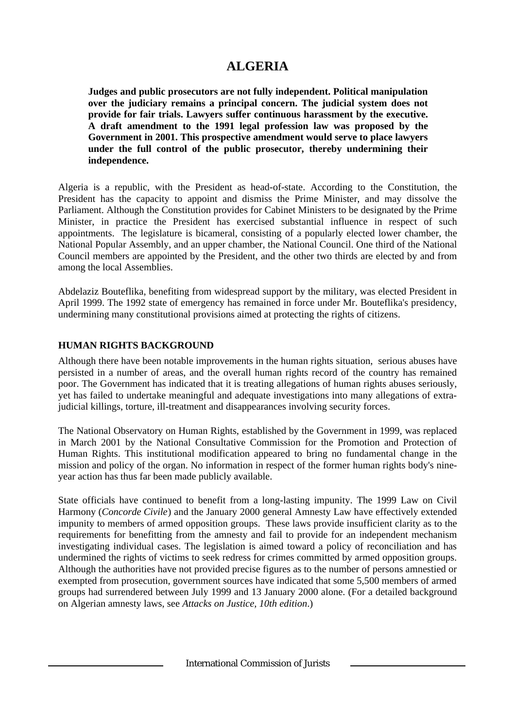# **ALGERIA**

**Judges and public prosecutors are not fully independent. Political manipulation over the judiciary remains a principal concern. The judicial system does not provide for fair trials. Lawyers suffer continuous harassment by the executive. A draft amendment to the 1991 legal profession law was proposed by the Government in 2001. This prospective amendment would serve to place lawyers under the full control of the public prosecutor, thereby undermining their independence.**

Algeria is a republic, with the President as head-of-state. According to the Constitution, the President has the capacity to appoint and dismiss the Prime Minister, and may dissolve the Parliament. Although the Constitution provides for Cabinet Ministers to be designated by the Prime Minister, in practice the President has exercised substantial influence in respect of such appointments. The legislature is bicameral, consisting of a popularly elected lower chamber, the National Popular Assembly, and an upper chamber, the National Council. One third of the National Council members are appointed by the President, and the other two thirds are elected by and from among the local Assemblies.

Abdelaziz Bouteflika, benefiting from widespread support by the military, was elected President in April 1999. The 1992 state of emergency has remained in force under Mr. Bouteflika's presidency, undermining many constitutional provisions aimed at protecting the rights of citizens.

### **HUMAN RIGHTS BACKGROUND**

Although there have been notable improvements in the human rights situation, serious abuses have persisted in a number of areas, and the overall human rights record of the country has remained poor. The Government has indicated that it is treating allegations of human rights abuses seriously, yet has failed to undertake meaningful and adequate investigations into many allegations of extrajudicial killings, torture, ill-treatment and disappearances involving security forces.

The National Observatory on Human Rights, established by the Government in 1999, was replaced in March 2001 by the National Consultative Commission for the Promotion and Protection of Human Rights. This institutional modification appeared to bring no fundamental change in the mission and policy of the organ. No information in respect of the former human rights body's nineyear action has thus far been made publicly available.

State officials have continued to benefit from a long-lasting impunity. The 1999 Law on Civil Harmony (*Concorde Civile*) and the January 2000 general Amnesty Law have effectively extended impunity to members of armed opposition groups. These laws provide insufficient clarity as to the requirements for benefitting from the amnesty and fail to provide for an independent mechanism investigating individual cases. The legislation is aimed toward a policy of reconciliation and has undermined the rights of victims to seek redress for crimes committed by armed opposition groups. Although the authorities have not provided precise figures as to the number of persons amnestied or exempted from prosecution, government sources have indicated that some 5,500 members of armed groups had surrendered between July 1999 and 13 January 2000 alone. (For a detailed background on Algerian amnesty laws, see *Attacks on Justice, 10th edition*.)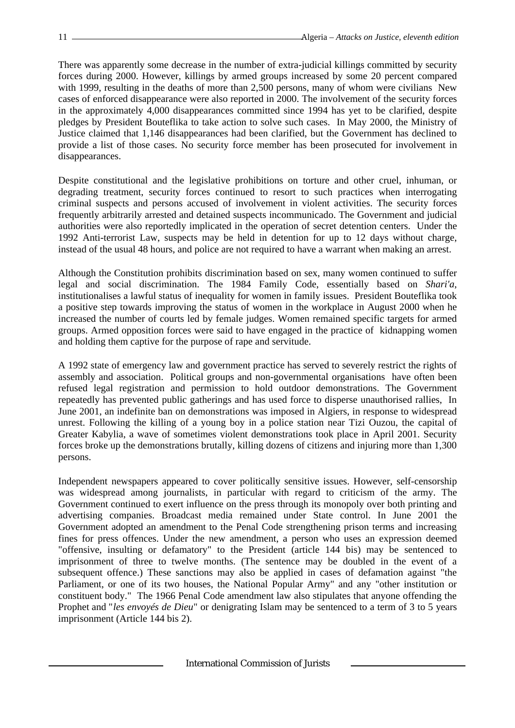There was apparently some decrease in the number of extra-judicial killings committed by security forces during 2000. However, killings by armed groups increased by some 20 percent compared with 1999, resulting in the deaths of more than 2,500 persons, many of whom were civilians New cases of enforced disappearance were also reported in 2000. The involvement of the security forces in the approximately 4,000 disappearances committed since 1994 has yet to be clarified, despite pledges by President Bouteflika to take action to solve such cases. In May 2000, the Ministry of Justice claimed that 1,146 disappearances had been clarified, but the Government has declined to provide a list of those cases. No security force member has been prosecuted for involvement in disappearances.

Despite constitutional and the legislative prohibitions on torture and other cruel, inhuman, or degrading treatment, security forces continued to resort to such practices when interrogating criminal suspects and persons accused of involvement in violent activities. The security forces frequently arbitrarily arrested and detained suspects incommunicado. The Government and judicial authorities were also reportedly implicated in the operation of secret detention centers. Under the 1992 Anti-terrorist Law, suspects may be held in detention for up to 12 days without charge, instead of the usual 48 hours, and police are not required to have a warrant when making an arrest.

Although the Constitution prohibits discrimination based on sex, many women continued to suffer legal and social discrimination. The 1984 Family Code, essentially based on *Shari'a*, institutionalises a lawful status of inequality for women in family issues. President Bouteflika took a positive step towards improving the status of women in the workplace in August 2000 when he increased the number of courts led by female judges. Women remained specific targets for armed groups. Armed opposition forces were said to have engaged in the practice of kidnapping women and holding them captive for the purpose of rape and servitude.

A 1992 state of emergency law and government practice has served to severely restrict the rights of assembly and association. Political groups and non-governmental organisations have often been refused legal registration and permission to hold outdoor demonstrations. The Government repeatedly has prevented public gatherings and has used force to disperse unauthorised rallies, In June 2001, an indefinite ban on demonstrations was imposed in Algiers, in response to widespread unrest. Following the killing of a young boy in a police station near Tizi Ouzou, the capital of Greater Kabylia, a wave of sometimes violent demonstrations took place in April 2001. Security forces broke up the demonstrations brutally, killing dozens of citizens and injuring more than 1,300 persons.

Independent newspapers appeared to cover politically sensitive issues. However, self-censorship was widespread among journalists, in particular with regard to criticism of the army. The Government continued to exert influence on the press through its monopoly over both printing and advertising companies. Broadcast media remained under State control. In June 2001 the Government adopted an amendment to the Penal Code strengthening prison terms and increasing fines for press offences. Under the new amendment, a person who uses an expression deemed "offensive, insulting or defamatory" to the President (article 144 bis) may be sentenced to imprisonment of three to twelve months. (The sentence may be doubled in the event of a subsequent offence.) These sanctions may also be applied in cases of defamation against "the Parliament, or one of its two houses, the National Popular Army" and any "other institution or constituent body." The 1966 Penal Code amendment law also stipulates that anyone offending the Prophet and "*les envoyés de Dieu*" or denigrating Islam may be sentenced to a term of 3 to 5 years imprisonment (Article 144 bis 2).

International Commission of Jurists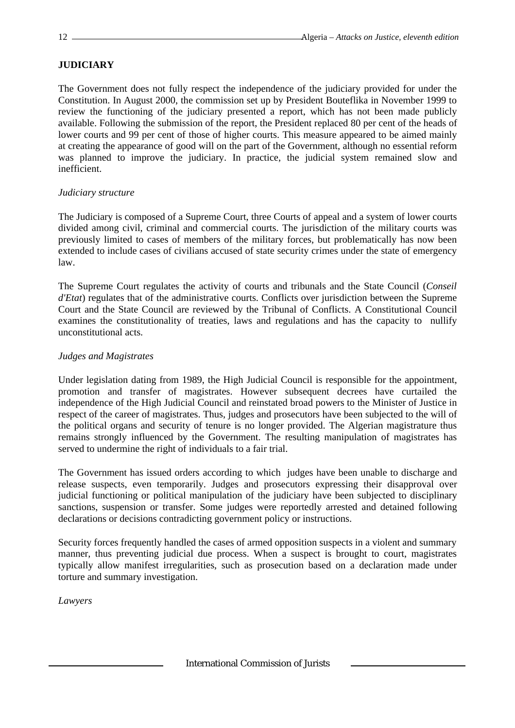## **JUDICIARY**

The Government does not fully respect the independence of the judiciary provided for under the Constitution. In August 2000, the commission set up by President Bouteflika in November 1999 to review the functioning of the judiciary presented a report, which has not been made publicly available. Following the submission of the report, the President replaced 80 per cent of the heads of lower courts and 99 per cent of those of higher courts. This measure appeared to be aimed mainly at creating the appearance of good will on the part of the Government, although no essential reform was planned to improve the judiciary. In practice, the judicial system remained slow and inefficient.

### *Judiciary structure*

The Judiciary is composed of a Supreme Court, three Courts of appeal and a system of lower courts divided among civil, criminal and commercial courts. The jurisdiction of the military courts was previously limited to cases of members of the military forces, but problematically has now been extended to include cases of civilians accused of state security crimes under the state of emergency law.

The Supreme Court regulates the activity of courts and tribunals and the State Council (*Conseil d'Etat*) regulates that of the administrative courts. Conflicts over jurisdiction between the Supreme Court and the State Council are reviewed by the Tribunal of Conflicts. A Constitutional Council examines the constitutionality of treaties, laws and regulations and has the capacity to nullify unconstitutional acts.

### *Judges and Magistrates*

Under legislation dating from 1989, the High Judicial Council is responsible for the appointment, promotion and transfer of magistrates. However subsequent decrees have curtailed the independence of the High Judicial Council and reinstated broad powers to the Minister of Justice in respect of the career of magistrates. Thus, judges and prosecutors have been subjected to the will of the political organs and security of tenure is no longer provided. The Algerian magistrature thus remains strongly influenced by the Government. The resulting manipulation of magistrates has served to undermine the right of individuals to a fair trial.

The Government has issued orders according to which judges have been unable to discharge and release suspects, even temporarily. Judges and prosecutors expressing their disapproval over judicial functioning or political manipulation of the judiciary have been subjected to disciplinary sanctions, suspension or transfer. Some judges were reportedly arrested and detained following declarations or decisions contradicting government policy or instructions.

Security forces frequently handled the cases of armed opposition suspects in a violent and summary manner, thus preventing judicial due process. When a suspect is brought to court, magistrates typically allow manifest irregularities, such as prosecution based on a declaration made under torture and summary investigation.

*Lawyers*